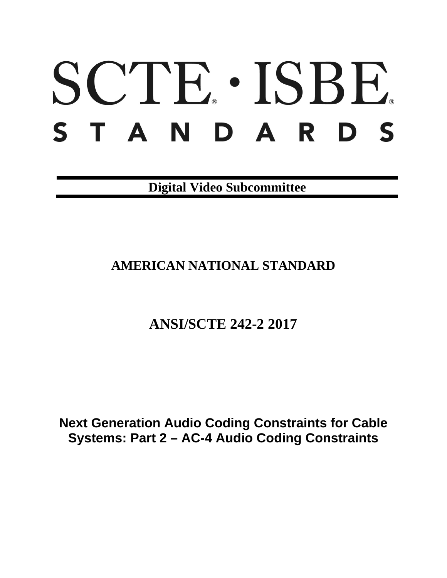# SCTE · ISBE. STANDARDS

**Digital Video Subcommittee**

## **AMERICAN NATIONAL STANDARD**

## **ANSI/SCTE 242-2 2017**

**Next Generation Audio Coding Constraints for Cable Systems: Part 2 – AC-4 Audio Coding Constraints**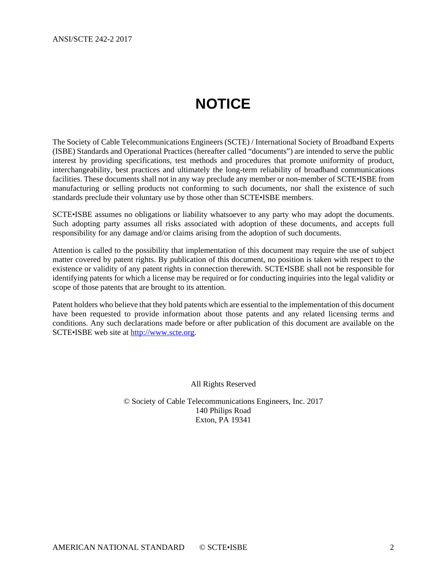## **NOTICE**

<span id="page-1-0"></span>The Society of Cable Telecommunications Engineers (SCTE) / International Society of Broadband Experts (ISBE) Standards and Operational Practices (hereafter called "documents") are intended to serve the public interest by providing specifications, test methods and procedures that promote uniformity of product, interchangeability, best practices and ultimately the long-term reliability of broadband communications facilities. These documents shall not in any way preclude any member or non-member of SCTE•ISBE from manufacturing or selling products not conforming to such documents, nor shall the existence of such standards preclude their voluntary use by those other than SCTE•ISBE members.

SCTE•ISBE assumes no obligations or liability whatsoever to any party who may adopt the documents. Such adopting party assumes all risks associated with adoption of these documents, and accepts full responsibility for any damage and/or claims arising from the adoption of such documents.

Attention is called to the possibility that implementation of this document may require the use of subject matter covered by patent rights. By publication of this document, no position is taken with respect to the existence or validity of any patent rights in connection therewith. SCTE•ISBE shall not be responsible for identifying patents for which a license may be required or for conducting inquiries into the legal validity or scope of those patents that are brought to its attention.

Patent holders who believe that they hold patents which are essential to the implementation of this document have been requested to provide information about those patents and any related licensing terms and conditions. Any such declarations made before or after publication of this document are available on the SCTE•ISBE web site at [http://www.scte.org.](http://www.scte.org/)

All Rights Reserved

© Society of Cable Telecommunications Engineers, Inc. 2017 140 Philips Road Exton, PA 19341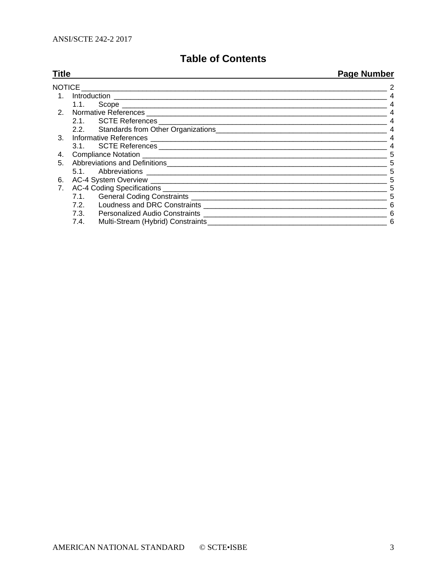### **Table of Contents**

| <b>Title</b> |                                                                                                                                                                                                                                      | <b>Page Number</b> |
|--------------|--------------------------------------------------------------------------------------------------------------------------------------------------------------------------------------------------------------------------------------|--------------------|
|              | NOTICE <b>All and the Contract Contract Contract Contract Contract Contract Contract Contract Contract Contract Contract Contract Contract Contract Contract Contract Contract Contract Contract Contract Contract Contract Cont</b> |                    |
| $1_{-}$      |                                                                                                                                                                                                                                      |                    |
|              | 1.1.                                                                                                                                                                                                                                 |                    |
| 2.           |                                                                                                                                                                                                                                      |                    |
|              |                                                                                                                                                                                                                                      |                    |
|              |                                                                                                                                                                                                                                      |                    |
| 3.           |                                                                                                                                                                                                                                      |                    |
|              |                                                                                                                                                                                                                                      |                    |
| 4.           |                                                                                                                                                                                                                                      | 5                  |
| 5.           |                                                                                                                                                                                                                                      | 5                  |
|              |                                                                                                                                                                                                                                      | 5                  |
| 6.           |                                                                                                                                                                                                                                      | 5                  |
| 7.           |                                                                                                                                                                                                                                      | 5                  |
|              |                                                                                                                                                                                                                                      | 5                  |
|              |                                                                                                                                                                                                                                      | 6                  |
|              |                                                                                                                                                                                                                                      | 6                  |
|              |                                                                                                                                                                                                                                      | 6                  |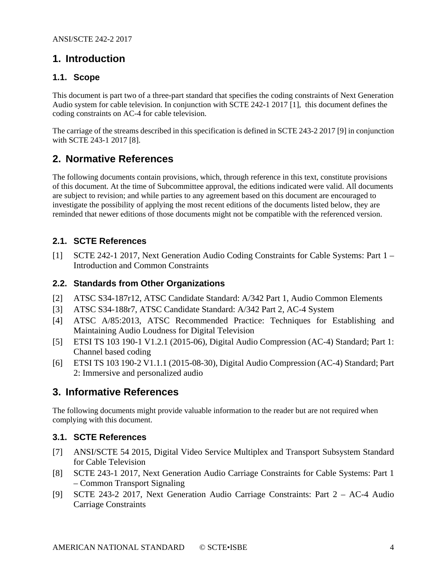#### <span id="page-3-0"></span>**1. Introduction**

#### <span id="page-3-1"></span>**1.1. Scope**

This document is part two of a three-part standard that specifies the coding constraints of Next Generation Audio system for cable television. In conjunction with SCTE 242-1 2017 [\[1\],](#page-3-7) this document defines the coding constraints on AC-4 for cable television.

The carriage of the streams described in this specification is defined in SCTE 243-2 2017 [\[9\]](#page-3-8) in conjunction with SCTE 243-1 2017 [\[8\].](#page-3-9)

#### <span id="page-3-2"></span>**2. Normative References**

The following documents contain provisions, which, through reference in this text, constitute provisions of this document. At the time of Subcommittee approval, the editions indicated were valid. All documents are subject to revision; and while parties to any agreement based on this document are encouraged to investigate the possibility of applying the most recent editions of the documents listed below, they are reminded that newer editions of those documents might not be compatible with the referenced version.

#### <span id="page-3-3"></span>**2.1. SCTE References**

<span id="page-3-7"></span>[1] SCTE 242-1 2017, Next Generation Audio Coding Constraints for Cable Systems: Part 1 – Introduction and Common Constraints

#### <span id="page-3-4"></span>**2.2. Standards from Other Organizations**

- <span id="page-3-11"></span>[2] ATSC S34-187r12, ATSC Candidate Standard: A/342 Part 1, Audio Common Elements
- <span id="page-3-12"></span>[3] ATSC S34-188r7, ATSC Candidate Standard: A/342 Part 2, AC-4 System
- <span id="page-3-14"></span>[4] ATSC A/85:2013, ATSC Recommended Practice: Techniques for Establishing and Maintaining Audio Loudness for Digital Television
- <span id="page-3-13"></span>[5] ETSI TS 103 190-1 V1.2.1 (2015-06), Digital Audio Compression (AC-4) Standard; Part 1: Channel based coding
- <span id="page-3-10"></span>[6] ETSI TS 103 190-2 V1.1.1 (2015-08-30), Digital Audio Compression (AC-4) Standard; Part 2: Immersive and personalized audio

#### <span id="page-3-5"></span>**3. Informative References**

The following documents might provide valuable information to the reader but are not required when complying with this document.

#### <span id="page-3-6"></span>**3.1. SCTE References**

- [7] ANSI/SCTE 54 2015, Digital Video Service Multiplex and Transport Subsystem Standard for Cable Television
- <span id="page-3-9"></span>[8] SCTE 243-1 2017, Next Generation Audio Carriage Constraints for Cable Systems: Part 1 – Common Transport Signaling
- <span id="page-3-8"></span>[9] SCTE 243-2 2017, Next Generation Audio Carriage Constraints: Part 2 – AC-4 Audio Carriage Constraints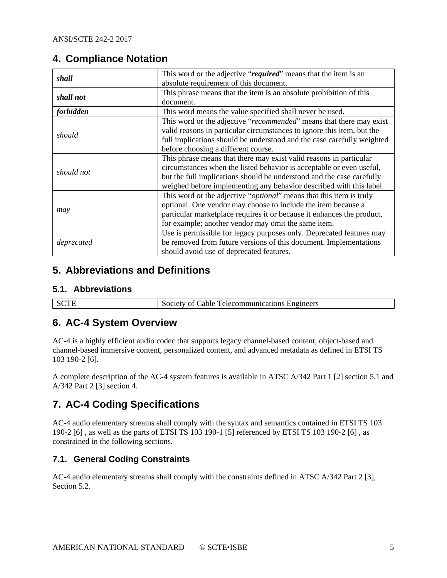#### <span id="page-4-0"></span>**4. Compliance Notation**

| shall      | This word or the adjective "required" means that the item is an        |
|------------|------------------------------------------------------------------------|
|            | absolute requirement of this document.                                 |
| shall not  | This phrase means that the item is an absolute prohibition of this     |
|            | document.                                                              |
| forbidden  | This word means the value specified shall never be used.               |
|            | This word or the adjective "recommended" means that there may exist    |
|            | valid reasons in particular circumstances to ignore this item, but the |
| should     | full implications should be understood and the case carefully weighted |
|            | before choosing a different course.                                    |
|            | This phrase means that there may exist valid reasons in particular     |
| should not | circumstances when the listed behavior is acceptable or even useful,   |
|            | but the full implications should be understood and the case carefully  |
|            | weighed before implementing any behavior described with this label.    |
|            | This word or the adjective "optional" means that this item is truly    |
|            | optional. One vendor may choose to include the item because a          |
| may        | particular marketplace requires it or because it enhances the product, |
|            | for example; another vendor may omit the same item.                    |
|            | Use is permissible for legacy purposes only. Deprecated features may   |
| deprecated | be removed from future versions of this document. Implementations      |
|            | should avoid use of deprecated features.                               |

#### <span id="page-4-1"></span>**5. Abbreviations and Definitions**

#### <span id="page-4-2"></span>**5.1. Abbreviations**

| meers<br>лv<br>ות י<br>- ت<br>_____ |
|-------------------------------------|
|-------------------------------------|

#### <span id="page-4-3"></span>**6. AC-4 System Overview**

AC-4 is a highly efficient audio codec that supports legacy channel-based content, object-based and channel-based immersive content, personalized content, and advanced metadata as defined in ETSI TS 103 190-2 [\[6\].](#page-3-10)

A complete description of the AC-4 system features is available in ATSC A/342 Part 1 [\[2\]](#page-3-11) section 5.1 and A/342 Part 2 [\[3\]](#page-3-12) section 4.

#### <span id="page-4-4"></span>**7. AC-4 Coding Specifications**

AC-4 audio elementary streams shall comply with the syntax and semantics contained in ETSI TS 103 190-2 [\[6\]](#page-3-10) , as well as the parts of ETSI TS 103 190-1 [\[5\]](#page-3-13) referenced by ETSI TS 103 190-2 [\[6\]](#page-3-10) , as constrained in the following sections.

#### <span id="page-4-5"></span>**7.1. General Coding Constraints**

AC-4 audio elementary streams shall comply with the constraints defined in ATSC A/342 Part 2 [\[3\],](#page-3-12) Section 5.2.